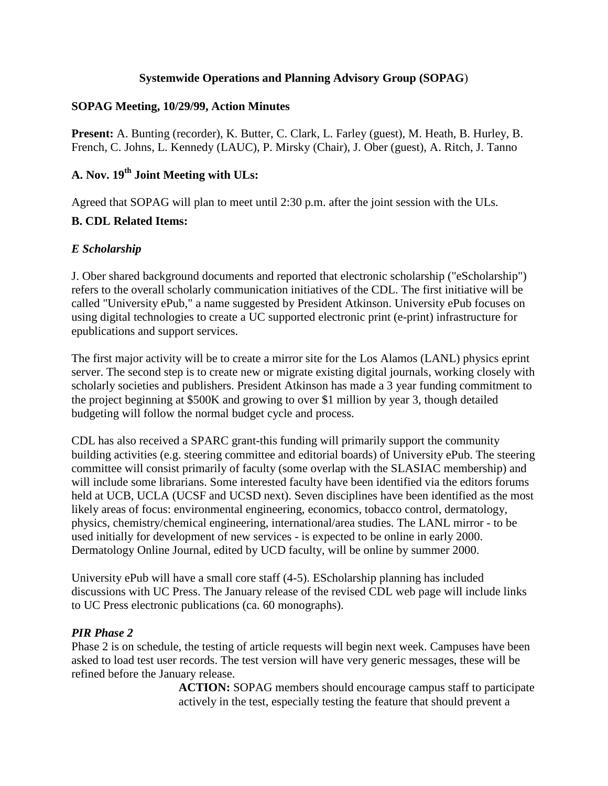### **Systemwide Operations and Planning Advisory Group (SOPAG**)

### **SOPAG Meeting, 10/29/99, Action Minutes**

**Present:** A. Bunting (recorder), K. Butter, C. Clark, L. Farley (guest), M. Heath, B. Hurley, B. French, C. Johns, L. Kennedy (LAUC), P. Mirsky (Chair), J. Ober (guest), A. Ritch, J. Tanno

# **A. Nov. 19th Joint Meeting with ULs:**

Agreed that SOPAG will plan to meet until 2:30 p.m. after the joint session with the ULs.

# **B. CDL Related Items:**

# *E Scholarship*

J. Ober shared background documents and reported that electronic scholarship ("eScholarship") refers to the overall scholarly communication initiatives of the CDL. The first initiative will be called "University ePub," a name suggested by President Atkinson. University ePub focuses on using digital technologies to create a UC supported electronic print (e-print) infrastructure for epublications and support services.

The first major activity will be to create a mirror site for the Los Alamos (LANL) physics eprint server. The second step is to create new or migrate existing digital journals, working closely with scholarly societies and publishers. President Atkinson has made a 3 year funding commitment to the project beginning at \$500K and growing to over \$1 million by year 3, though detailed budgeting will follow the normal budget cycle and process.

CDL has also received a SPARC grant-this funding will primarily support the community building activities (e.g. steering committee and editorial boards) of University ePub. The steering committee will consist primarily of faculty (some overlap with the SLASIAC membership) and will include some librarians. Some interested faculty have been identified via the editors forums held at UCB, UCLA (UCSF and UCSD next). Seven disciplines have been identified as the most likely areas of focus: environmental engineering, economics, tobacco control, dermatology, physics, chemistry/chemical engineering, international/area studies. The LANL mirror - to be used initially for development of new services - is expected to be online in early 2000. Dermatology Online Journal, edited by UCD faculty, will be online by summer 2000.

University ePub will have a small core staff (4-5). EScholarship planning has included discussions with UC Press. The January release of the revised CDL web page will include links to UC Press electronic publications (ca. 60 monographs).

# *PIR Phase 2*

Phase 2 is on schedule, the testing of article requests will begin next week. Campuses have been asked to load test user records. The test version will have very generic messages, these will be refined before the January release.

> **ACTION:** SOPAG members should encourage campus staff to participate actively in the test, especially testing the feature that should prevent a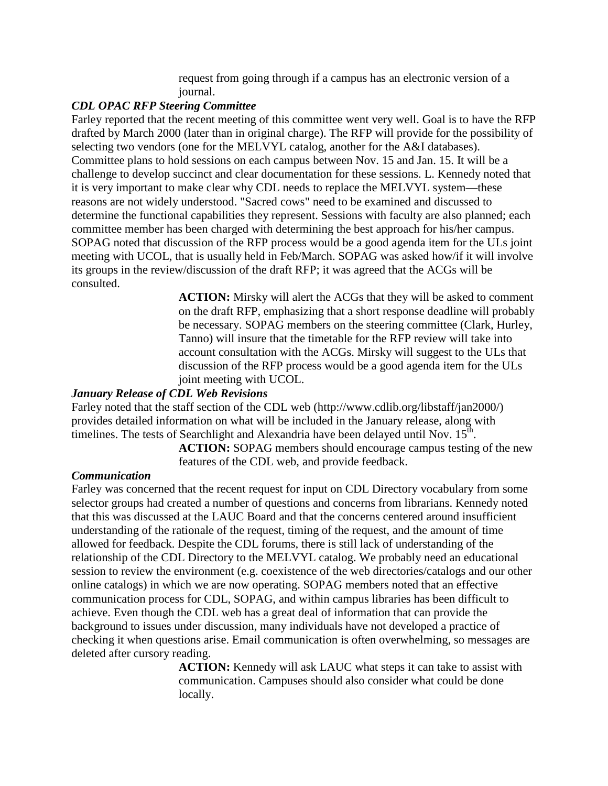request from going through if a campus has an electronic version of a journal.

### *CDL OPAC RFP Steering Committee*

Farley reported that the recent meeting of this committee went very well. Goal is to have the RFP drafted by March 2000 (later than in original charge). The RFP will provide for the possibility of selecting two vendors (one for the MELVYL catalog, another for the A&I databases). Committee plans to hold sessions on each campus between Nov. 15 and Jan. 15. It will be a challenge to develop succinct and clear documentation for these sessions. L. Kennedy noted that it is very important to make clear why CDL needs to replace the MELVYL system—these reasons are not widely understood. "Sacred cows" need to be examined and discussed to determine the functional capabilities they represent. Sessions with faculty are also planned; each committee member has been charged with determining the best approach for his/her campus. SOPAG noted that discussion of the RFP process would be a good agenda item for the ULs joint meeting with UCOL, that is usually held in Feb/March. SOPAG was asked how/if it will involve its groups in the review/discussion of the draft RFP; it was agreed that the ACGs will be consulted.

> **ACTION:** Mirsky will alert the ACGs that they will be asked to comment on the draft RFP, emphasizing that a short response deadline will probably be necessary. SOPAG members on the steering committee (Clark, Hurley, Tanno) will insure that the timetable for the RFP review will take into account consultation with the ACGs. Mirsky will suggest to the ULs that discussion of the RFP process would be a good agenda item for the ULs joint meeting with UCOL.

### *January Release of CDL Web Revisions*

Farley noted that the staff section of the CDL web (http://www.cdlib.org/libstaff/jan2000/) provides detailed information on what will be included in the January release, along with timelines. The tests of Searchlight and Alexandria have been delayed until Nov.  $15<sup>th</sup>$ .

> **ACTION:** SOPAG members should encourage campus testing of the new features of the CDL web, and provide feedback.

#### *Communication*

Farley was concerned that the recent request for input on CDL Directory vocabulary from some selector groups had created a number of questions and concerns from librarians. Kennedy noted that this was discussed at the LAUC Board and that the concerns centered around insufficient understanding of the rationale of the request, timing of the request, and the amount of time allowed for feedback. Despite the CDL forums, there is still lack of understanding of the relationship of the CDL Directory to the MELVYL catalog. We probably need an educational session to review the environment (e.g. coexistence of the web directories/catalogs and our other online catalogs) in which we are now operating. SOPAG members noted that an effective communication process for CDL, SOPAG, and within campus libraries has been difficult to achieve. Even though the CDL web has a great deal of information that can provide the background to issues under discussion, many individuals have not developed a practice of checking it when questions arise. Email communication is often overwhelming, so messages are deleted after cursory reading.

> **ACTION:** Kennedy will ask LAUC what steps it can take to assist with communication. Campuses should also consider what could be done locally.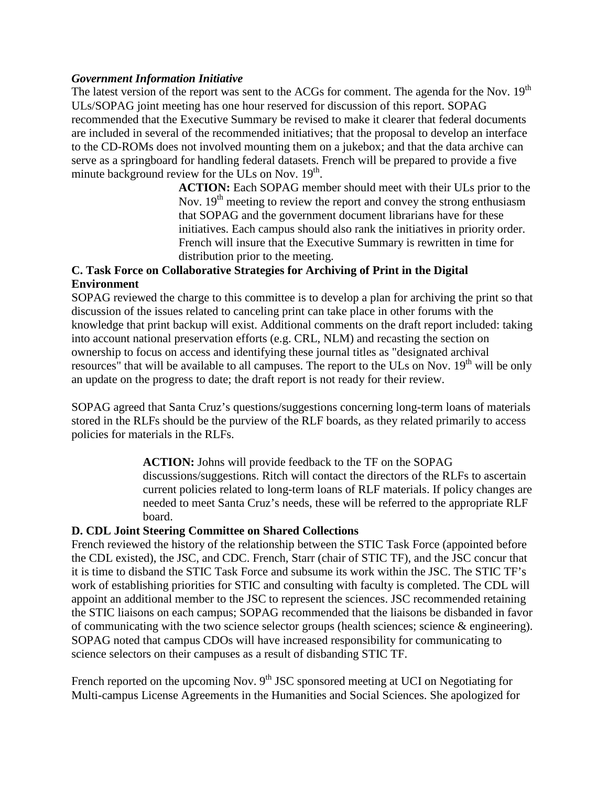#### *Government Information Initiative*

The latest version of the report was sent to the ACGs for comment. The agenda for the Nov. 19<sup>th</sup> ULs/SOPAG joint meeting has one hour reserved for discussion of this report. SOPAG recommended that the Executive Summary be revised to make it clearer that federal documents are included in several of the recommended initiatives; that the proposal to develop an interface to the CD-ROMs does not involved mounting them on a jukebox; and that the data archive can serve as a springboard for handling federal datasets. French will be prepared to provide a five minute background review for the ULs on Nov.  $19<sup>th</sup>$ .

> **ACTION:** Each SOPAG member should meet with their ULs prior to the Nov.  $19<sup>th</sup>$  meeting to review the report and convey the strong enthusiasm that SOPAG and the government document librarians have for these initiatives. Each campus should also rank the initiatives in priority order. French will insure that the Executive Summary is rewritten in time for distribution prior to the meeting.

# **C. Task Force on Collaborative Strategies for Archiving of Print in the Digital Environment**

SOPAG reviewed the charge to this committee is to develop a plan for archiving the print so that discussion of the issues related to canceling print can take place in other forums with the knowledge that print backup will exist. Additional comments on the draft report included: taking into account national preservation efforts (e.g. CRL, NLM) and recasting the section on ownership to focus on access and identifying these journal titles as "designated archival resources" that will be available to all campuses. The report to the ULs on Nov.  $19<sup>th</sup>$  will be only an update on the progress to date; the draft report is not ready for their review.

SOPAG agreed that Santa Cruz's questions/suggestions concerning long-term loans of materials stored in the RLFs should be the purview of the RLF boards, as they related primarily to access policies for materials in the RLFs.

> **ACTION:** Johns will provide feedback to the TF on the SOPAG discussions/suggestions. Ritch will contact the directors of the RLFs to ascertain current policies related to long-term loans of RLF materials. If policy changes are needed to meet Santa Cruz's needs, these will be referred to the appropriate RLF board.

#### **D. CDL Joint Steering Committee on Shared Collections**

French reviewed the history of the relationship between the STIC Task Force (appointed before the CDL existed), the JSC, and CDC. French, Starr (chair of STIC TF), and the JSC concur that it is time to disband the STIC Task Force and subsume its work within the JSC. The STIC TF's work of establishing priorities for STIC and consulting with faculty is completed. The CDL will appoint an additional member to the JSC to represent the sciences. JSC recommended retaining the STIC liaisons on each campus; SOPAG recommended that the liaisons be disbanded in favor of communicating with the two science selector groups (health sciences; science & engineering). SOPAG noted that campus CDOs will have increased responsibility for communicating to science selectors on their campuses as a result of disbanding STIC TF.

French reported on the upcoming Nov.  $9<sup>th</sup>$  JSC sponsored meeting at UCI on Negotiating for Multi-campus License Agreements in the Humanities and Social Sciences. She apologized for